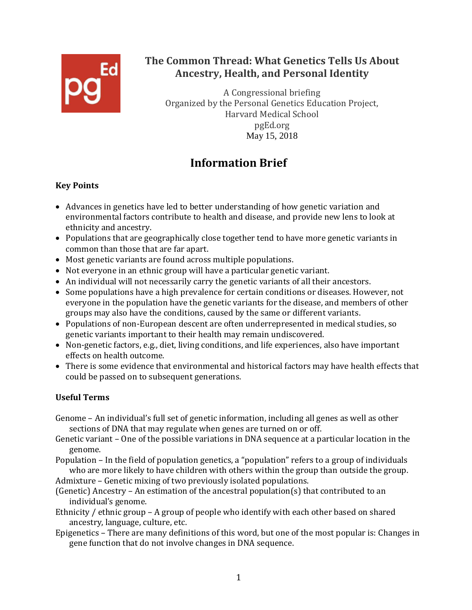

## **The Common Thread: What Genetics Tells Us About Ancestry, Health, and Personal Identity**

A Congressional briefing Organized by the Personal Genetics Education Project, Harvard Medical School pgEd.org May 15, 2018

# **Information Brief**

## **Key Points**

- Advances in genetics have led to better understanding of how genetic variation and environmental factors contribute to health and disease, and provide new lens to look at ethnicity and ancestry.
- Populations that are geographically close together tend to have more genetic variants in common than those that are far apart.
- Most genetic variants are found across multiple populations.
- Not everyone in an ethnic group will have a particular genetic variant.
- An individual will not necessarily carry the genetic variants of all their ancestors.
- Some populations have a high prevalence for certain conditions or diseases. However, not everyone in the population have the genetic variants for the disease, and members of other groups may also have the conditions, caused by the same or different variants.
- Populations of non-European descent are often underrepresented in medical studies, so genetic variants important to their health may remain undiscovered.
- Non-genetic factors, e.g., diet, living conditions, and life experiences, also have important effects on health outcome.
- There is some evidence that environmental and historical factors may have health effects that could be passed on to subsequent generations.

## **Useful Terms**

- Genome An individual's full set of genetic information, including all genes as well as other sections of DNA that may regulate when genes are turned on or off.
- Genetic variant One of the possible variations in DNA sequence at a particular location in the genome.
- Population In the field of population genetics, a "population" refers to a group of individuals who are more likely to have children with others within the group than outside the group.
- Admixture Genetic mixing of two previously isolated populations.
- (Genetic) Ancestry An estimation of the ancestral population(s) that contributed to an individual's genome.
- Ethnicity / ethnic group A group of people who identify with each other based on shared ancestry, language, culture, etc.
- Epigenetics There are many definitions of this word, but one of the most popular is: Changes in gene function that do not involve changes in DNA sequence.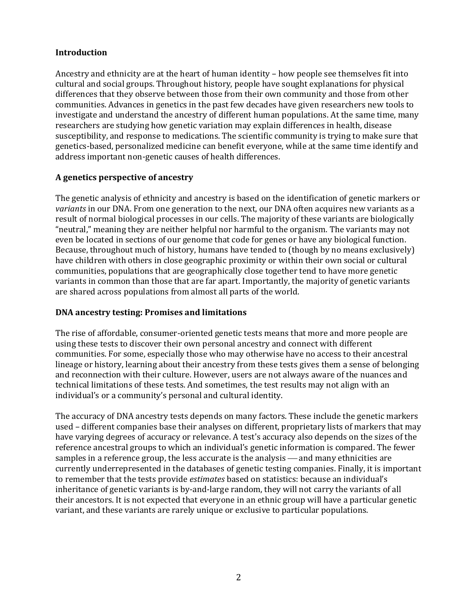#### **Introduction**

Ancestry and ethnicity are at the heart of human identity – how people see themselves fit into cultural and social groups. Throughout history, people have sought explanations for physical differences that they observe between those from their own community and those from other communities. Advances in genetics in the past few decades have given researchers new tools to investigate and understand the ancestry of different human populations. At the same time, many researchers are studying how genetic variation may explain differences in health, disease susceptibility, and response to medications. The scientific community is trying to make sure that genetics-based, personalized medicine can benefit everyone, while at the same time identify and address important non-genetic causes of health differences.

#### **A genetics perspective of ancestry**

The genetic analysis of ethnicity and ancestry is based on the identification of genetic markers or *variants* in our DNA. From one generation to the next, our DNA often acquires new variants as a result of normal biological processes in our cells. The majority of these variants are biologically "neutral," meaning they are neither helpful nor harmful to the organism. The variants may not even be located in sections of our genome that code for genes or have any biological function. Because, throughout much of history, humans have tended to (though by no means exclusively) have children with others in close geographic proximity or within their own social or cultural communities, populations that are geographically close together tend to have more genetic variants in common than those that are far apart. Importantly, the majority of genetic variants are shared across populations from almost all parts of the world.

#### **DNA ancestry testing: Promises and limitations**

The rise of affordable, consumer-oriented genetic tests means that more and more people are using these tests to discover their own personal ancestry and connect with different communities. For some, especially those who may otherwise have no access to their ancestral lineage or history, learning about their ancestry from these tests gives them a sense of belonging and reconnection with their culture. However, users are not always aware of the nuances and technical limitations of these tests. And sometimes, the test results may not align with an individual's or a community's personal and cultural identity.

The accuracy of DNA ancestry tests depends on many factors. These include the genetic markers used – different companies base their analyses on different, proprietary lists of markers that may have varying degrees of accuracy or relevance. A test's accuracy also depends on the sizes of the reference ancestral groups to which an individual's genetic information is compared. The fewer samples in a reference group, the less accurate is the analysis — and many ethnicities are currently underrepresented in the databases of genetic testing companies. Finally, it is important to remember that the tests provide *estimates* based on statistics: because an individual's inheritance of genetic variants is by-and-large random, they will not carry the variants of all their ancestors. It is not expected that everyone in an ethnic group will have a particular genetic variant, and these variants are rarely unique or exclusive to particular populations.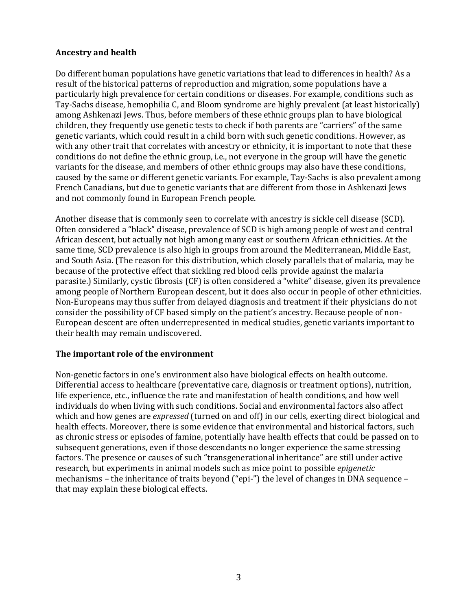#### **Ancestry and health**

Do different human populations have genetic variations that lead to differences in health? As a result of the historical patterns of reproduction and migration, some populations have a particularly high prevalence for certain conditions or diseases. For example, conditions such as Tay-Sachs disease, hemophilia C, and Bloom syndrome are highly prevalent (at least historically) among Ashkenazi Jews. Thus, before members of these ethnic groups plan to have biological children, they frequently use genetic tests to check if both parents are "carriers" of the same genetic variants, which could result in a child born with such genetic conditions. However, as with any other trait that correlates with ancestry or ethnicity, it is important to note that these conditions do not define the ethnic group, i.e., not everyone in the group will have the genetic variants for the disease, and members of other ethnic groups may also have these conditions, caused by the same or different genetic variants. For example, Tay-Sachs is also prevalent among French Canadians, but due to genetic variants that are different from those in Ashkenazi Jews and not commonly found in European French people.

Another disease that is commonly seen to correlate with ancestry is sickle cell disease (SCD). Often considered a "black" disease, prevalence of SCD is high among people of west and central African descent, but actually not high among many east or southern African ethnicities. At the same time, SCD prevalence is also high in groups from around the Mediterranean, Middle East, and South Asia. (The reason for this distribution, which closely parallels that of malaria, may be because of the protective effect that sickling red blood cells provide against the malaria parasite.) Similarly, cystic fibrosis (CF) is often considered a "white" disease, given its prevalence among people of Northern European descent, but it does also occur in people of other ethnicities. Non-Europeans may thus suffer from delayed diagnosis and treatment if their physicians do not consider the possibility of CF based simply on the patient's ancestry. Because people of non-European descent are often underrepresented in medical studies, genetic variants important to their health may remain undiscovered.

#### **The important role of the environment**

Non-genetic factors in one's environment also have biological effects on health outcome. Differential access to healthcare (preventative care, diagnosis or treatment options), nutrition, life experience, etc., influence the rate and manifestation of health conditions, and how well individuals do when living with such conditions. Social and environmental factors also affect which and how genes are *expressed* (turned on and off) in our cells, exerting direct biological and health effects. Moreover, there is some evidence that environmental and historical factors, such as chronic stress or episodes of famine, potentially have health effects that could be passed on to subsequent generations, even if those descendants no longer experience the same stressing factors. The presence or causes of such "transgenerational inheritance" are still under active research, but experiments in animal models such as mice point to possible *epigenetic* mechanisms – the inheritance of traits beyond ("epi-") the level of changes in DNA sequence – that may explain these biological effects.